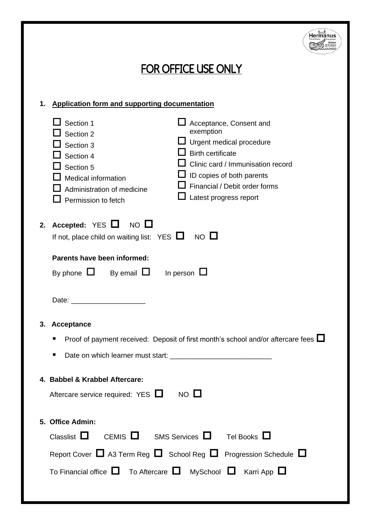

## FOR OFFICE USE ONLY

## **1. Application form and supporting documentation**

| $\mathsf{\mathsf{J}}$ Section 1<br>Section 2<br>Section 3<br>Section 4<br>Section 5<br>Medical information<br>Administration of medicine<br>$\Box$ Permission to fetch                                                         | Acceptance, Consent and<br>exemption<br>$\Box$ Urgent medical procedure<br><b>Birth certificate</b><br>$\perp$ Clinic card / Immunisation record<br>$\Box$ ID copies of both parents<br>Financial / Debit order forms<br>Latest progress report |
|--------------------------------------------------------------------------------------------------------------------------------------------------------------------------------------------------------------------------------|-------------------------------------------------------------------------------------------------------------------------------------------------------------------------------------------------------------------------------------------------|
| 2. Accepted: $YES$ $\Box$<br>$NO$ $L$<br>If not, place child on waiting list: YES $\Box$ NO $\Box$                                                                                                                             |                                                                                                                                                                                                                                                 |
| Parents have been informed:                                                                                                                                                                                                    |                                                                                                                                                                                                                                                 |
| By phone $\Box$ By email $\Box$                                                                                                                                                                                                | In person $\Box$                                                                                                                                                                                                                                |
| Date: the contract of the contract of the contract of the contract of the contract of the contract of the contract of the contract of the contract of the contract of the contract of the contract of the contract of the cont |                                                                                                                                                                                                                                                 |
| 3. Acceptance                                                                                                                                                                                                                  |                                                                                                                                                                                                                                                 |
| ٠                                                                                                                                                                                                                              | Proof of payment received: Deposit of first month's school and/or aftercare fees $\square$                                                                                                                                                      |
| ٠                                                                                                                                                                                                                              |                                                                                                                                                                                                                                                 |
| 4. Babbel & Krabbel Aftercare:                                                                                                                                                                                                 |                                                                                                                                                                                                                                                 |
| Aftercare service required: $YES$ NO $\square$                                                                                                                                                                                 |                                                                                                                                                                                                                                                 |
|                                                                                                                                                                                                                                |                                                                                                                                                                                                                                                 |
| 5. Office Admin:                                                                                                                                                                                                               |                                                                                                                                                                                                                                                 |
| Classlist $\Box$<br>CFMIS $\Box$                                                                                                                                                                                               | SMS Services $\Box$ Tel Books $\Box$                                                                                                                                                                                                            |
|                                                                                                                                                                                                                                | Report Cover $\Box$ A3 Term Reg $\Box$ School Reg $\Box$ Progression Schedule $\Box$                                                                                                                                                            |
| To Financial office $\Box$ To Aftercare $\Box$ MySchool $\Box$ Karri App $\Box$                                                                                                                                                |                                                                                                                                                                                                                                                 |
|                                                                                                                                                                                                                                |                                                                                                                                                                                                                                                 |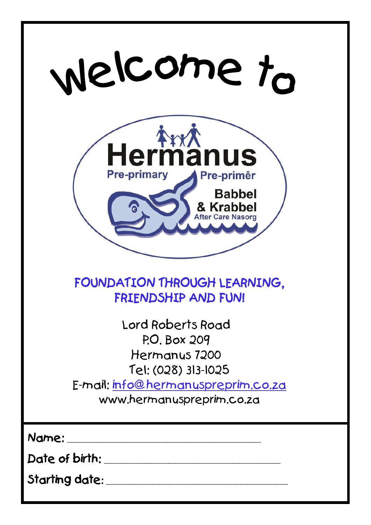| welcome to                                                                                                                                   |
|----------------------------------------------------------------------------------------------------------------------------------------------|
| ArxA<br>lermänus<br><b>Pre-primary</b><br><b>Pre-primêr</b><br><b>Babbel</b>                                                                 |
| FOUNDATION THROUGH LEARNING,<br>FRIENDSHIP AND FUN!                                                                                          |
| Lord Roberts Road<br>P.O. Box 209<br>Hermanys 7200<br>Tel: (028) 313-1025<br>E-mail: info@hermanuspreprim.co.za<br>www.hermanuspreprim.co.za |
| Name:<br>Date of birth:<br>Starting date: _                                                                                                  |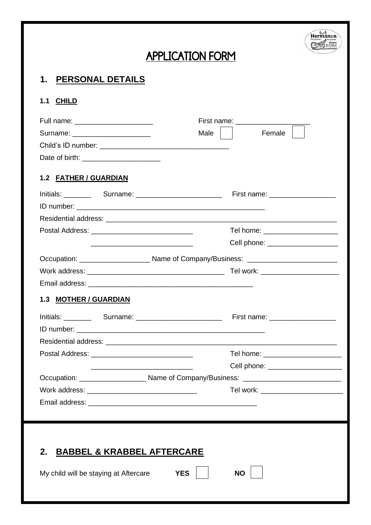## Hermanus **Command Response** APPLICATION FORM **1. PERSONAL DETAILS 1.1 CHILD** Full name:  $\Box$  First name: Surname: \_\_\_\_\_\_\_\_\_\_\_\_\_\_\_\_\_\_\_\_ Male Female Child's ID number: \_\_\_\_\_\_\_\_\_\_\_\_\_\_\_\_\_\_\_\_\_\_\_\_\_\_\_\_\_\_\_\_\_ Date of birth: **1.2 FATHER / GUARDIAN** Initials: extending the Surname: the Surname: the Surname: extending First name:  $\overline{\phantom{a}}$ ID number: \_\_\_\_\_\_\_\_\_\_\_\_\_\_\_\_\_\_\_\_\_\_\_\_\_\_\_\_\_\_\_\_\_\_\_\_\_\_\_\_\_\_\_\_\_\_\_\_ Residential address: \_\_\_\_\_\_\_\_\_\_\_\_\_\_\_\_\_\_\_\_\_\_\_\_\_\_\_\_\_\_\_\_\_\_\_\_\_\_\_\_\_\_\_\_\_\_\_\_\_\_\_\_\_\_\_\_\_\_\_ Postal Address: entitled and the set of the set of the Tel home:  $\Box$  Tel home:  $\Box$  \_\_\_\_\_\_\_\_\_\_\_\_\_\_\_\_\_\_\_\_\_\_\_\_\_\_ Cell phone: \_\_\_\_\_\_\_\_\_\_\_\_\_\_\_\_\_\_ Occupation: \_\_\_\_\_\_\_\_\_\_\_\_\_\_\_\_\_\_ Name of Company/Business: \_\_\_\_\_\_\_\_\_\_\_\_\_\_\_\_\_\_\_\_\_\_\_ Work address: \_\_\_\_\_\_\_\_\_\_\_\_\_\_\_\_\_\_\_\_\_\_\_\_\_\_\_\_\_\_\_\_\_\_\_ Tel work: \_\_\_\_\_\_\_\_\_\_\_\_\_\_\_\_\_\_\_\_ Email address: **1.3 MOTHER / GUARDIAN** Initials: Surname: Surname: Eirst name: Executive Surname: Executive Surname: Executive Surname: Executive Sur ID number: Residential address: \_\_\_\_\_\_\_\_\_\_\_\_\_\_\_\_\_\_\_\_\_\_\_\_\_\_\_\_\_\_\_\_\_\_\_\_\_\_\_\_\_\_\_\_\_\_\_\_\_\_\_\_\_\_\_\_\_\_\_ Postal Address: entitled and the set of the set of the Tel home:  $\overline{a}$  Tel home:  $\overline{b}$  \_\_\_\_\_\_\_\_\_\_\_\_\_\_\_\_\_\_\_\_\_\_\_\_\_\_ Cell phone: \_\_\_\_\_\_\_\_\_\_\_\_\_\_\_\_\_\_\_ Occupation: \_\_\_\_\_\_\_\_\_\_\_\_\_\_\_\_\_\_\_\_ Name of Company/Business: \_\_\_\_\_\_\_\_\_\_\_\_\_\_\_\_\_\_\_\_\_ Work address: \_\_\_\_\_\_\_\_\_\_\_\_\_\_\_\_\_\_\_\_\_\_\_\_\_\_\_\_ Tel work: \_\_\_\_\_\_\_\_\_\_\_\_\_\_\_\_\_\_\_\_\_ Email address: **Email address: 2. BABBEL & KRABBEL AFTERCARE** My child will be staying at Aftercare **YES YES NO**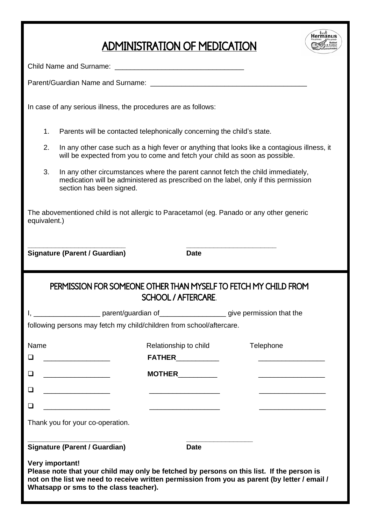## ADMINISTRATION OF MEDICATION



| Child Name and Surname: |  |
|-------------------------|--|
|                         |  |

Parent/Guardian Name and Surname:

In case of any serious illness, the procedures are as follows:

- 1. Parents will be contacted telephonically concerning the child's state.
- 2. In any other case such as a high fever or anything that looks like a contagious illness, it will be expected from you to come and fetch your child as soon as possible.
- 3. In any other circumstances where the parent cannot fetch the child immediately, medication will be administered as prescribed on the label, only if this permission section has been signed.

The abovementioned child is not allergic to Paracetamol (eg. Panado or any other generic equivalent.)

**\_\_\_\_\_\_\_\_\_\_\_\_\_\_\_\_\_\_\_\_\_\_\_\_\_ \_\_\_\_\_\_\_\_\_\_\_\_\_\_\_\_\_\_\_\_\_\_\_ Signature (Parent / Guardian) Date**

## PERMISSION FOR SOMEONE OTHER THAN MYSELF TO FETCH MY CHILD FROM SCHOOL / AFTERCARE

| I, ____________________________parent/guardian of __________________________give permission that the                                                                                                                                                    |                                                                            |           |
|---------------------------------------------------------------------------------------------------------------------------------------------------------------------------------------------------------------------------------------------------------|----------------------------------------------------------------------------|-----------|
| following persons may fetch my child/children from school/aftercare.                                                                                                                                                                                    |                                                                            |           |
| Name                                                                                                                                                                                                                                                    | Relationship to child                                                      | Telephone |
| □<br>the control of the control of the control of                                                                                                                                                                                                       |                                                                            |           |
| □<br><u> 1980 - Andrea Station Barbara, politik eta provincia eta provincia eta provincia eta provincia eta provincia</u>                                                                                                                               | <b>MOTHER</b>                                                              |           |
| ◻                                                                                                                                                                                                                                                       | the control of the control of the control of the control of the control of |           |
| ⊓                                                                                                                                                                                                                                                       |                                                                            |           |
| Thank you for your co-operation.                                                                                                                                                                                                                        |                                                                            |           |
| Signature (Parent / Guardian)                                                                                                                                                                                                                           | Date                                                                       |           |
| Very important!<br>Please note that your child may only be fetched by persons on this list. If the person is<br>not on the list we need to receive written permission from you as parent (by letter / email /<br>Whatsapp or sms to the class teacher). |                                                                            |           |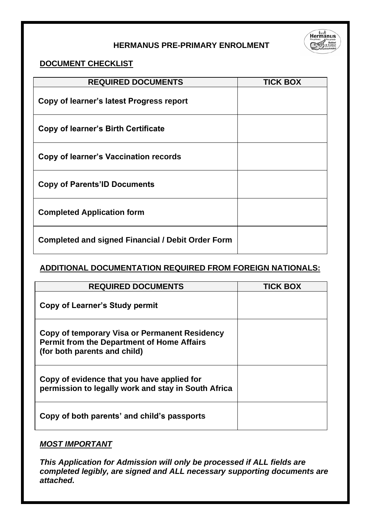### **HERMANUS PRE-PRIMARY ENROLMENT**



### **DOCUMENT CHECKLIST**

| <b>REQUIRED DOCUMENTS</b>                                | <b>TICK BOX</b> |
|----------------------------------------------------------|-----------------|
| Copy of learner's latest Progress report                 |                 |
| Copy of learner's Birth Certificate                      |                 |
| Copy of learner's Vaccination records                    |                 |
| <b>Copy of Parents'ID Documents</b>                      |                 |
| <b>Completed Application form</b>                        |                 |
| <b>Completed and signed Financial / Debit Order Form</b> |                 |

### **ADDITIONAL DOCUMENTATION REQUIRED FROM FOREIGN NATIONALS:**

| <b>REQUIRED DOCUMENTS</b>                                                                                                          | <b>TICK BOX</b> |
|------------------------------------------------------------------------------------------------------------------------------------|-----------------|
| Copy of Learner's Study permit                                                                                                     |                 |
| Copy of temporary Visa or Permanent Residency<br><b>Permit from the Department of Home Affairs</b><br>(for both parents and child) |                 |
| Copy of evidence that you have applied for<br>permission to legally work and stay in South Africa                                  |                 |
| Copy of both parents' and child's passports                                                                                        |                 |

### *MOST IMPORTANT*

*This Application for Admission will only be processed if ALL fields are completed legibly, are signed and ALL necessary supporting documents are attached.*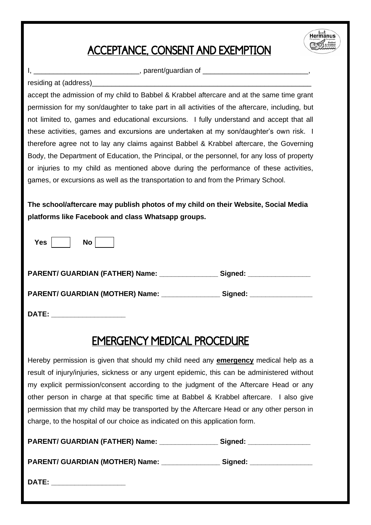## ACCEPTANCE, CONSENT AND EXEMPTION



residing at (address)

 $\Box$ , parent/guardian of  $\Box$ 

accept the admission of my child to Babbel & Krabbel aftercare and at the same time grant permission for my son/daughter to take part in all activities of the aftercare, including, but not limited to, games and educational excursions. I fully understand and accept that all these activities, games and excursions are undertaken at my son/daughter's own risk. I therefore agree not to lay any claims against Babbel & Krabbel aftercare, the Governing Body, the Department of Education, the Principal, or the personnel, for any loss of property or injuries to my child as mentioned above during the performance of these activities, games, or excursions as well as the transportation to and from the Primary School.

**The school/aftercare may publish photos of my child on their Website, Social Media platforms like Facebook and class Whatsapp groups.**

| --<br>-<br>., |  |
|---------------|--|
|---------------|--|

**PARENT/ GUARDIAN (FATHER) Name: \_\_\_\_\_\_\_\_\_\_\_\_\_\_\_ Signed: \_\_\_\_\_\_\_\_\_\_\_\_\_\_\_\_**

**PARENT/ GUARDIAN (MOTHER) Name: \_\_\_\_\_\_\_\_\_\_\_\_\_\_\_ Signed: \_\_\_\_\_\_\_\_\_\_\_\_\_\_\_\_**

**DATE: \_\_\_\_\_\_\_\_\_\_\_\_\_\_\_\_\_\_\_**

## EMERGENCY MEDICAL PROCEDURE

Hereby permission is given that should my child need any **emergency** medical help as a result of injury/injuries, sickness or any urgent epidemic, this can be administered without my explicit permission/consent according to the judgment of the Aftercare Head or any other person in charge at that specific time at Babbel & Krabbel aftercare. I also give permission that my child may be transported by the Aftercare Head or any other person in charge, to the hospital of our choice as indicated on this application form.

| <b>PARENT/ GUARDIAN (FATHER) Name:</b> | Signed: |
|----------------------------------------|---------|
|----------------------------------------|---------|

**PARENT/ GUARDIAN (MOTHER) Name: \_\_\_\_\_\_\_\_\_\_\_\_\_\_\_ Signed: \_\_\_\_\_\_\_\_\_\_\_\_\_\_\_\_**

**DATE:**  $\blacksquare$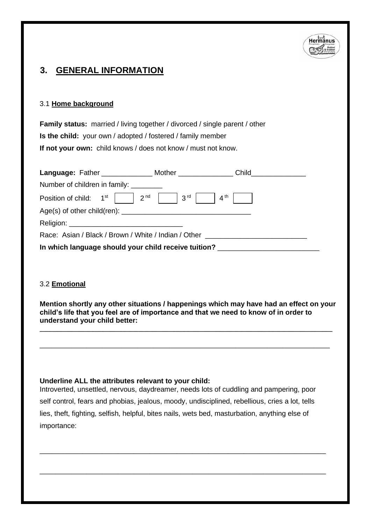

## **3. GENERAL INFORMATION**

#### 3.1 **Home background**

**Family status:** married / living together / divorced / single parent / other **Is the child:** your own / adopted / fostered / family member **If not your own:** child knows / does not know / must not know.

|                               | Language: Father __________________ Mother _______________   |  |
|-------------------------------|--------------------------------------------------------------|--|
| Number of children in family: |                                                              |  |
|                               | Position of child: $1^{st}$   $2^{nd}$   $3^{rd}$   $4^{th}$ |  |
|                               |                                                              |  |
|                               |                                                              |  |
|                               | Race: Asian / Black / Brown / White / Indian / Other         |  |
|                               | In which language should your child receive tuition?         |  |

#### 3.2 **Emotional**

**Mention shortly any other situations / happenings which may have had an effect on your child's life that you feel are of importance and that we need to know of in order to understand your child better: \_\_\_\_\_\_\_\_\_\_\_\_\_\_\_\_\_\_\_\_\_\_\_\_\_\_\_\_\_\_\_\_\_\_\_\_\_\_\_\_\_\_\_\_\_\_\_\_\_\_\_\_\_\_\_\_\_\_\_\_\_\_\_\_\_\_\_\_\_\_\_\_\_\_\_\_\_\_\_\_\_\_\_**

\_\_\_\_\_\_\_\_\_\_\_\_\_\_\_\_\_\_\_\_\_\_\_\_\_\_\_\_\_\_\_\_\_\_\_\_\_\_\_\_\_\_\_\_\_\_\_\_\_\_\_\_\_\_\_\_\_\_\_\_\_\_\_\_\_\_\_\_\_\_\_\_\_\_

#### **Underline ALL the attributes relevant to your child:**

Introverted, unsettled, nervous, daydreamer, needs lots of cuddling and pampering, poor self control, fears and phobias, jealous, moody, undisciplined, rebellious, cries a lot, tells lies, theft, fighting, selfish, helpful, bites nails, wets bed, masturbation, anything else of importance:

\_\_\_\_\_\_\_\_\_\_\_\_\_\_\_\_\_\_\_\_\_\_\_\_\_\_\_\_\_\_\_\_\_\_\_\_\_\_\_\_\_\_\_\_\_\_\_\_\_\_\_\_\_\_\_\_\_\_\_\_\_\_\_\_\_\_\_\_\_\_\_\_\_

\_\_\_\_\_\_\_\_\_\_\_\_\_\_\_\_\_\_\_\_\_\_\_\_\_\_\_\_\_\_\_\_\_\_\_\_\_\_\_\_\_\_\_\_\_\_\_\_\_\_\_\_\_\_\_\_\_\_\_\_\_\_\_\_\_\_\_\_\_\_\_\_\_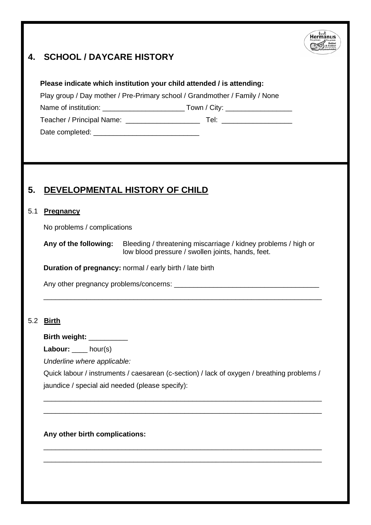## **4. SCHOOL / DAYCARE HISTORY**



#### **Please indicate which institution your child attended / is attending:**

Play group / Day mother / Pre-Primary school / Grandmother / Family / None

Name of institution: \_\_\_\_\_\_\_\_\_\_\_\_\_\_\_\_\_\_\_\_\_ Town / City: \_\_\_\_\_\_\_\_\_\_\_\_\_\_\_\_\_

Teacher / Principal Name: <br>
Tel: Teacher / Principal Name:  $\blacksquare$ 

Date completed:

## **5. DEVELOPMENTAL HISTORY OF CHILD**

#### 5.1 **Pregnancy**

No problems / complications

**Any of the following:** Bleeding / threatening miscarriage / kidney problems / high or low blood pressure / swollen joints, hands, feet.

\_\_\_\_\_\_\_\_\_\_\_\_\_\_\_\_\_\_\_\_\_\_\_\_\_\_\_\_\_\_\_\_\_\_\_\_\_\_\_\_\_\_\_\_\_\_\_\_\_\_\_\_\_\_\_\_\_\_\_\_\_\_\_\_\_\_\_\_\_\_\_

**Duration of pregnancy:** normal / early birth / late birth

Any other pregnancy problems/concerns:

#### 5.2 **Birth**

**Birth weight:** \_\_\_\_\_\_\_\_\_\_

Labour: \_\_\_\_ hour(s)

*Underline where applicable:*

Quick labour / instruments / caesarean (c-section) / lack of oxygen / breathing problems / jaundice / special aid needed (please specify):

\_\_\_\_\_\_\_\_\_\_\_\_\_\_\_\_\_\_\_\_\_\_\_\_\_\_\_\_\_\_\_\_\_\_\_\_\_\_\_\_\_\_\_\_\_\_\_\_\_\_\_\_\_\_\_\_\_\_\_\_\_\_\_\_\_\_\_\_\_\_\_ \_\_\_\_\_\_\_\_\_\_\_\_\_\_\_\_\_\_\_\_\_\_\_\_\_\_\_\_\_\_\_\_\_\_\_\_\_\_\_\_\_\_\_\_\_\_\_\_\_\_\_\_\_\_\_\_\_\_\_\_\_\_\_\_\_\_\_\_\_\_\_

\_\_\_\_\_\_\_\_\_\_\_\_\_\_\_\_\_\_\_\_\_\_\_\_\_\_\_\_\_\_\_\_\_\_\_\_\_\_\_\_\_\_\_\_\_\_\_\_\_\_\_\_\_\_\_\_\_\_\_\_\_\_\_\_\_\_\_\_\_\_\_  $\_$  , and the set of the set of the set of the set of the set of the set of the set of the set of the set of the set of the set of the set of the set of the set of the set of the set of the set of the set of the set of th

**Any other birth complications:**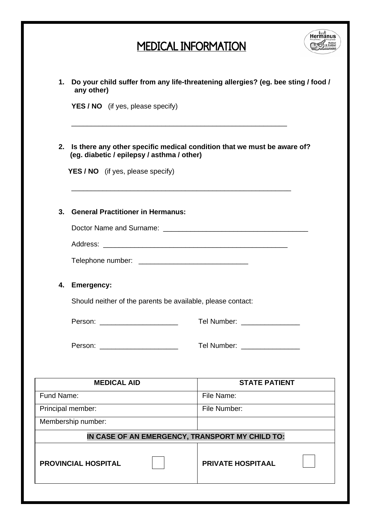# MEDICAL INFORMATION



| 1.         | any other)                                                                                                                                                                                                                    | Do your child suffer from any life-threatening allergies? (eg. bee sting / food / |
|------------|-------------------------------------------------------------------------------------------------------------------------------------------------------------------------------------------------------------------------------|-----------------------------------------------------------------------------------|
|            | YES / NO (if yes, please specify)                                                                                                                                                                                             |                                                                                   |
|            | 2. Is there any other specific medical condition that we must be aware of?<br>(eg. diabetic / epilepsy / asthma / other)<br><b>YES / NO</b> (if yes, please specify)                                                          |                                                                                   |
| 3.         | <b>General Practitioner in Hermanus:</b>                                                                                                                                                                                      |                                                                                   |
|            |                                                                                                                                                                                                                               |                                                                                   |
|            |                                                                                                                                                                                                                               |                                                                                   |
|            |                                                                                                                                                                                                                               |                                                                                   |
| 4.         | Emergency:                                                                                                                                                                                                                    |                                                                                   |
|            | Should neither of the parents be available, please contact:                                                                                                                                                                   |                                                                                   |
|            | Person: National Person State Contract of the Contract of the Contract of the Contract of the Contract of the Contract of the Contract of the Contract of the Contract of the Contract of the Contract of the Contract of the | Tel Number: ________________                                                      |
|            | Person: _______________________                                                                                                                                                                                               | Tel Number: ________________                                                      |
|            |                                                                                                                                                                                                                               |                                                                                   |
|            | <b>MEDICAL AID</b>                                                                                                                                                                                                            | <b>STATE PATIENT</b>                                                              |
| Fund Name: |                                                                                                                                                                                                                               | File Name:                                                                        |
|            | Principal member:                                                                                                                                                                                                             | File Number:                                                                      |
|            | Membership number:                                                                                                                                                                                                            |                                                                                   |
|            | IN CASE OF AN EMERGENCY, TRANSPORT MY CHILD TO:                                                                                                                                                                               |                                                                                   |
|            | <b>PROVINCIAL HOSPITAL</b>                                                                                                                                                                                                    | <b>PRIVATE HOSPITAAL</b>                                                          |
|            |                                                                                                                                                                                                                               |                                                                                   |